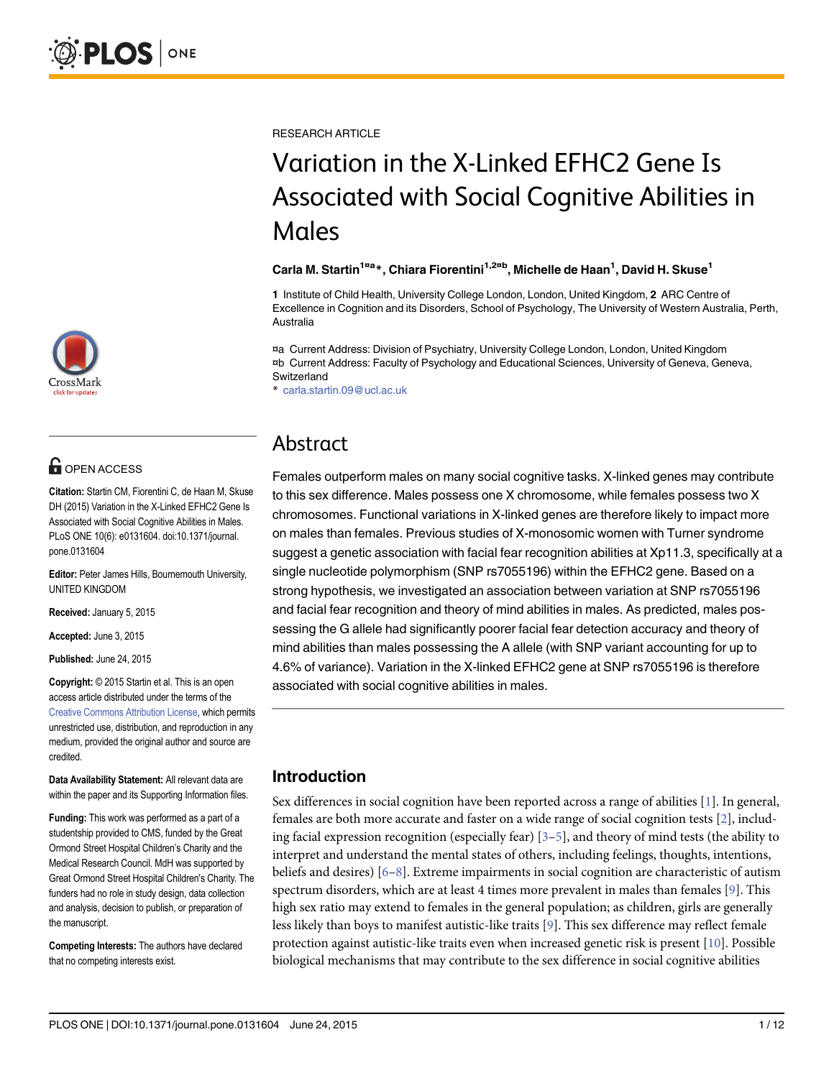

# **G** OPEN ACCESS

Citation: Startin CM, Fiorentini C, de Haan M, Skuse DH (2015) Variation in the X-Linked EFHC2 Gene Is Associated with Social Cognitive Abilities in Males. PLoS ONE 10(6): e0131604. doi:10.1371/journal. pone.0131604

Editor: Peter James Hills, Bournemouth University, UNITED KINGDOM

Received: January 5, 2015

Accepted: June 3, 2015

Published: June 24, 2015

Copyright: © 2015 Startin et al. This is an open access article distributed under the terms of the [Creative Commons Attribution License,](http://creativecommons.org/licenses/by/4.0/) which permits unrestricted use, distribution, and reproduction in any medium, provided the original author and source are credited.

Data Availability Statement: All relevant data are within the paper and its Supporting Information files.

Funding: This work was performed as a part of a studentship provided to CMS, funded by the Great Ormond Street Hospital Children's Charity and the Medical Research Council. MdH was supported by Great Ormond Street Hospital Children's Charity. The funders had no role in study design, data collection and analysis, decision to publish, or preparation of the manuscript.

Competing Interests: The authors have declared that no competing interests exist.

<span id="page-0-0"></span>RESEARCH ARTICLE

# Variation in the X-Linked EFHC2 Gene Is Associated with Social Cognitive Abilities in Males

#### Carla M. Startin<sup>1¤a</sup>\*, Chiara Fiorentini<sup>1,2¤b</sup>, Michelle de Haan<sup>1</sup>, David H. Skuse<sup>1</sup>

1 Institute of Child Health, University College London, London, United Kingdom, 2 ARC Centre of Excellence in Cognition and its Disorders, School of Psychology, The University of Western Australia, Perth, Australia

¤a Current Address: Division of Psychiatry, University College London, London, United Kingdom ¤b Current Address: Faculty of Psychology and Educational Sciences, University of Geneva, Geneva, Switzerland

\* carla.startin.09@ucl.ac.uk

# Abstract

Females outperform males on many social cognitive tasks. X-linked genes may contribute to this sex difference. Males possess one X chromosome, while females possess two X chromosomes. Functional variations in X-linked genes are therefore likely to impact more on males than females. Previous studies of X-monosomic women with Turner syndrome suggest a genetic association with facial fear recognition abilities at Xp11.3, specifically at a single nucleotide polymorphism (SNP rs7055196) within the EFHC2 gene. Based on a strong hypothesis, we investigated an association between variation at SNP rs7055196 and facial fear recognition and theory of mind abilities in males. As predicted, males possessing the G allele had significantly poorer facial fear detection accuracy and theory of mind abilities than males possessing the A allele (with SNP variant accounting for up to 4.6% of variance). Variation in the X-linked EFHC2 gene at SNP rs7055196 is therefore associated with social cognitive abilities in males.

# Introduction

Sex differences in social cognition have been reported across a range of abilities  $[1]$  $[1]$ . In general, females are both more accurate and faster on a wide range of social cognition tests [\[2\]](#page-9-0), including facial expression recognition (especially fear)  $[3-5]$  $[3-5]$  $[3-5]$ , and theory of mind tests (the ability to interpret and understand the mental states of others, including feelings, thoughts, intentions, beliefs and desires)  $[6–8]$  $[6–8]$  $[6–8]$  $[6–8]$  $[6–8]$ . Extreme impairments in social cognition are characteristic of autism spectrum disorders, which are at least 4 times more prevalent in males than females  $[9]$  $[9]$ . This high sex ratio may extend to females in the general population; as children, girls are generally less likely than boys to manifest autistic-like traits [[9\]](#page-10-0). This sex difference may reflect female protection against autistic-like traits even when increased genetic risk is present [[10](#page-10-0)]. Possible biological mechanisms that may contribute to the sex difference in social cognitive abilities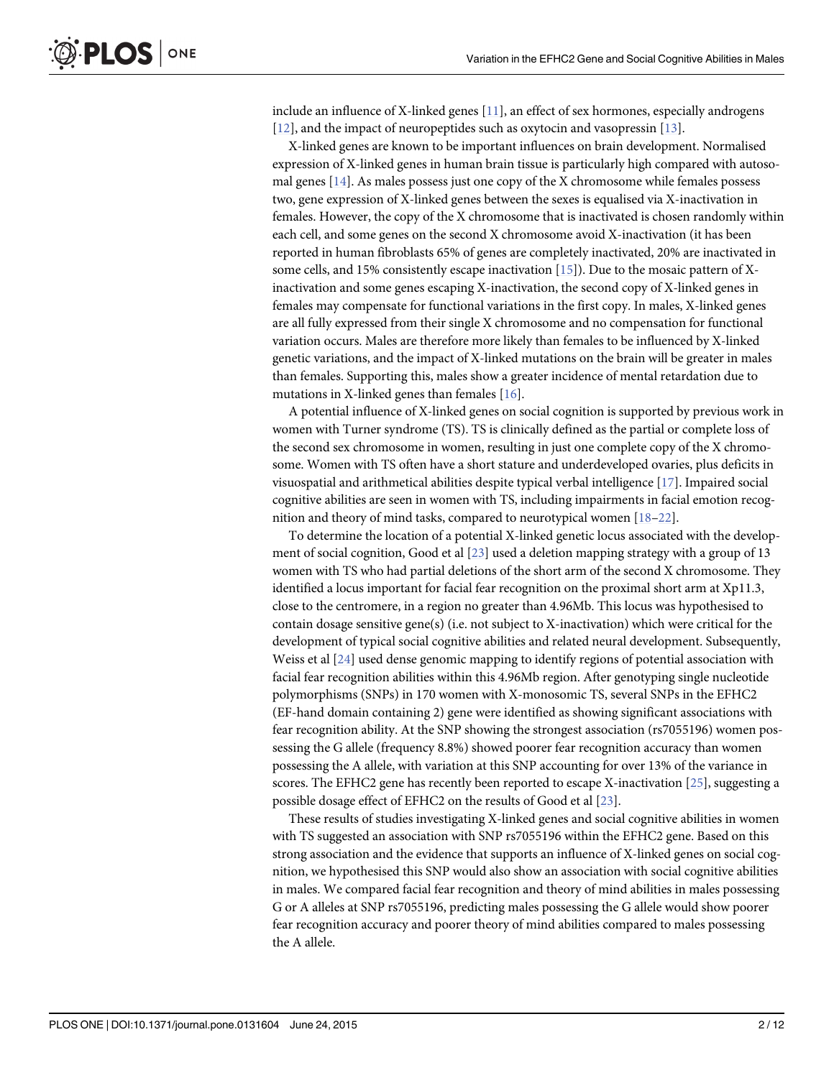<span id="page-1-0"></span>include an influence of X-linked genes  $[11]$ , an effect of sex hormones, especially androgens [\[12](#page-10-0)], and the impact of neuropeptides such as oxytocin and vasopressin [[13](#page-10-0)].

X-linked genes are known to be important influences on brain development. Normalised expression of X-linked genes in human brain tissue is particularly high compared with autosomal genes [[14](#page-10-0)]. As males possess just one copy of the X chromosome while females possess two, gene expression of X-linked genes between the sexes is equalised via X-inactivation in females. However, the copy of the X chromosome that is inactivated is chosen randomly within each cell, and some genes on the second X chromosome avoid X-inactivation (it has been reported in human fibroblasts 65% of genes are completely inactivated, 20% are inactivated in some cells, and 15% consistently escape inactivation  $[15]$ ). Due to the mosaic pattern of Xinactivation and some genes escaping X-inactivation, the second copy of X-linked genes in females may compensate for functional variations in the first copy. In males, X-linked genes are all fully expressed from their single X chromosome and no compensation for functional variation occurs. Males are therefore more likely than females to be influenced by X-linked genetic variations, and the impact of X-linked mutations on the brain will be greater in males than females. Supporting this, males show a greater incidence of mental retardation due to mutations in X-linked genes than females [\[16\]](#page-10-0).

A potential influence of X-linked genes on social cognition is supported by previous work in women with Turner syndrome (TS). TS is clinically defined as the partial or complete loss of the second sex chromosome in women, resulting in just one complete copy of the X chromosome. Women with TS often have a short stature and underdeveloped ovaries, plus deficits in visuospatial and arithmetical abilities despite typical verbal intelligence [[17](#page-10-0)]. Impaired social cognitive abilities are seen in women with TS, including impairments in facial emotion recognition and theory of mind tasks, compared to neurotypical women [[18](#page-10-0)–[22](#page-10-0)].

To determine the location of a potential X-linked genetic locus associated with the development of social cognition, Good et al [\[23\]](#page-10-0) used a deletion mapping strategy with a group of 13 women with TS who had partial deletions of the short arm of the second X chromosome. They identified a locus important for facial fear recognition on the proximal short arm at Xp11.3, close to the centromere, in a region no greater than 4.96Mb. This locus was hypothesised to contain dosage sensitive gene(s) (i.e. not subject to X-inactivation) which were critical for the development of typical social cognitive abilities and related neural development. Subsequently, Weiss et al [[24](#page-10-0)] used dense genomic mapping to identify regions of potential association with facial fear recognition abilities within this 4.96Mb region. After genotyping single nucleotide polymorphisms (SNPs) in 170 women with X-monosomic TS, several SNPs in the EFHC2 (EF-hand domain containing 2) gene were identified as showing significant associations with fear recognition ability. At the SNP showing the strongest association (rs7055196) women possessing the G allele (frequency 8.8%) showed poorer fear recognition accuracy than women possessing the A allele, with variation at this SNP accounting for over 13% of the variance in scores. The EFHC2 gene has recently been reported to escape X-inactivation  $[25]$  $[25]$  $[25]$ , suggesting a possible dosage effect of EFHC2 on the results of Good et al [[23](#page-10-0)].

These results of studies investigating X-linked genes and social cognitive abilities in women with TS suggested an association with SNP rs7055196 within the EFHC2 gene. Based on this strong association and the evidence that supports an influence of X-linked genes on social cognition, we hypothesised this SNP would also show an association with social cognitive abilities in males. We compared facial fear recognition and theory of mind abilities in males possessing G or A alleles at SNP rs7055196, predicting males possessing the G allele would show poorer fear recognition accuracy and poorer theory of mind abilities compared to males possessing the A allele.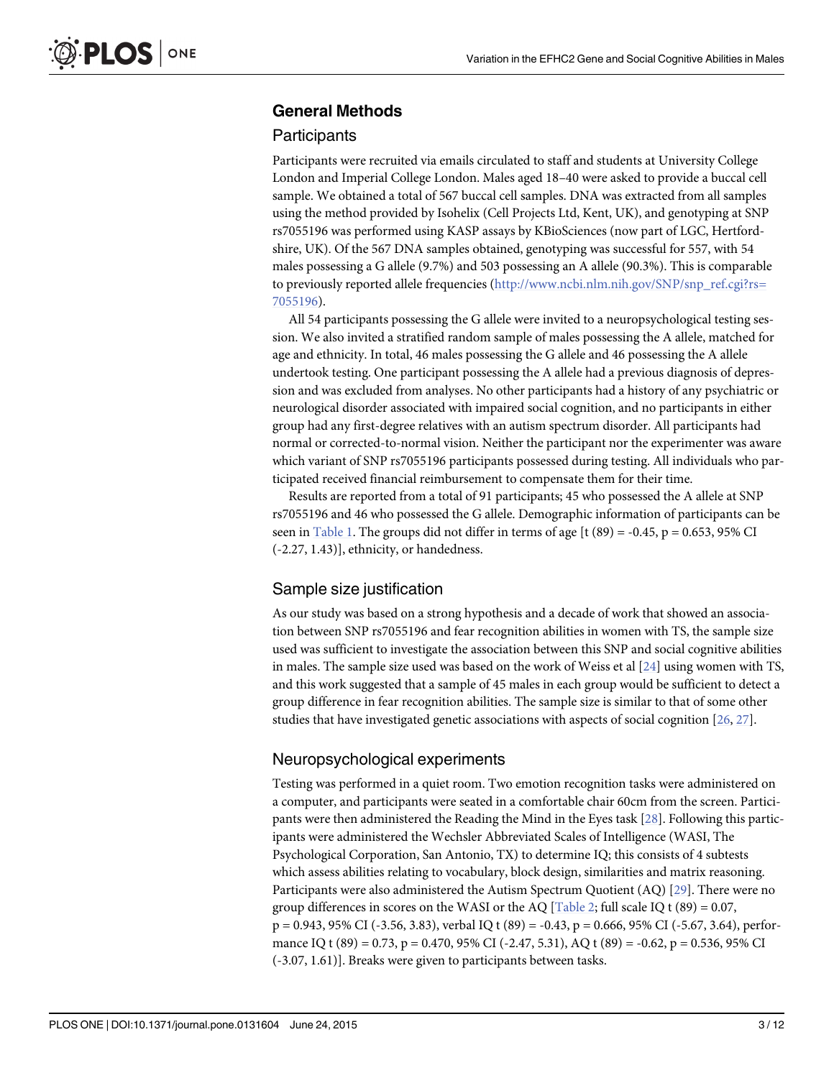# <span id="page-2-0"></span>General Methods

#### **Participants**

Participants were recruited via emails circulated to staff and students at University College London and Imperial College London. Males aged 18–40 were asked to provide a buccal cell sample. We obtained a total of 567 buccal cell samples. DNA was extracted from all samples using the method provided by Isohelix (Cell Projects Ltd, Kent, UK), and genotyping at SNP rs7055196 was performed using KASP assays by KBioSciences (now part of LGC, Hertfordshire, UK). Of the 567 DNA samples obtained, genotyping was successful for 557, with 54 males possessing a G allele (9.7%) and 503 possessing an A allele (90.3%). This is comparable to previously reported allele frequencies [\(http://www.ncbi.nlm.nih.gov/SNP/snp\\_ref.cgi?rs=](http://www.ncbi.nlm.nih.gov/SNP/snp_ref.cgi?rs=7055196) [7055196\)](http://www.ncbi.nlm.nih.gov/SNP/snp_ref.cgi?rs=7055196).

All 54 participants possessing the G allele were invited to a neuropsychological testing session. We also invited a stratified random sample of males possessing the A allele, matched for age and ethnicity. In total, 46 males possessing the G allele and 46 possessing the A allele undertook testing. One participant possessing the A allele had a previous diagnosis of depression and was excluded from analyses. No other participants had a history of any psychiatric or neurological disorder associated with impaired social cognition, and no participants in either group had any first-degree relatives with an autism spectrum disorder. All participants had normal or corrected-to-normal vision. Neither the participant nor the experimenter was aware which variant of SNP rs7055196 participants possessed during testing. All individuals who participated received financial reimbursement to compensate them for their time.

Results are reported from a total of 91 participants; 45 who possessed the A allele at SNP rs7055196 and 46 who possessed the G allele. Demographic information of participants can be seen in [Table 1](#page-3-0). The groups did not differ in terms of age [t  $(89) = -0.45$ , p = 0.653, 95% CI (-2.27, 1.43)], ethnicity, or handedness.

#### Sample size justification

As our study was based on a strong hypothesis and a decade of work that showed an association between SNP rs7055196 and fear recognition abilities in women with TS, the sample size used was sufficient to investigate the association between this SNP and social cognitive abilities in males. The sample size used was based on the work of Weiss et al  $[24]$  using women with TS, and this work suggested that a sample of 45 males in each group would be sufficient to detect a group difference in fear recognition abilities. The sample size is similar to that of some other studies that have investigated genetic associations with aspects of social cognition [[26](#page-10-0), [27](#page-10-0)].

#### Neuropsychological experiments

Testing was performed in a quiet room. Two emotion recognition tasks were administered on a computer, and participants were seated in a comfortable chair 60cm from the screen. Participants were then administered the Reading the Mind in the Eyes task [[28](#page-10-0)]. Following this participants were administered the Wechsler Abbreviated Scales of Intelligence (WASI, The Psychological Corporation, San Antonio, TX) to determine IQ; this consists of 4 subtests which assess abilities relating to vocabulary, block design, similarities and matrix reasoning. Participants were also administered the Autism Spectrum Quotient (AQ) [[29](#page-10-0)]. There were no group differences in scores on the WASI or the AQ  $[Table 2; full scale IQ t (89) = 0.07$  $[Table 2; full scale IQ t (89) = 0.07$  $[Table 2; full scale IQ t (89) = 0.07$ , p = 0.943, 95% CI (-3.56, 3.83), verbal IQ t (89) = -0.43, p = 0.666, 95% CI (-5.67, 3.64), performance IQ t (89) = 0.73, p = 0.470, 95% CI (-2.47, 5.31), AQ t (89) = -0.62, p = 0.536, 95% CI (-3.07, 1.61)]. Breaks were given to participants between tasks.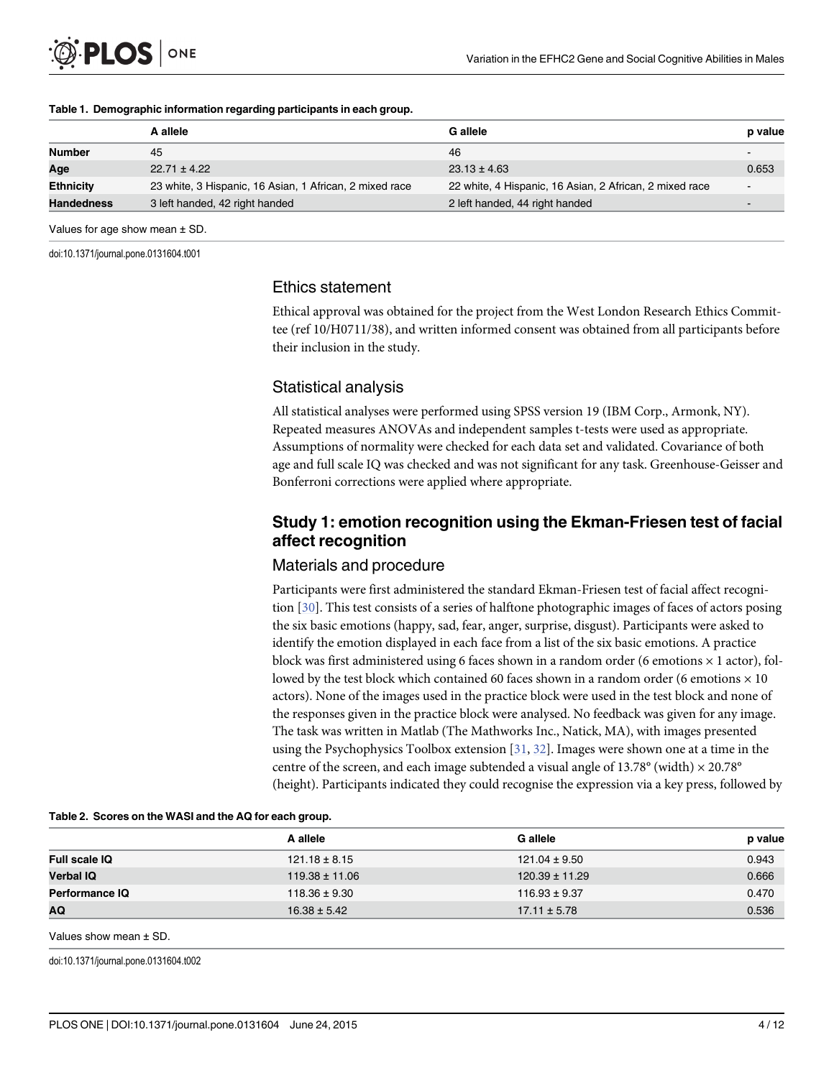<span id="page-3-0"></span>

#### [Table 1.](#page-2-0) Demographic information regarding participants in each group.

|                   | A allele                                                | <b>G</b> allele                                         | p value |
|-------------------|---------------------------------------------------------|---------------------------------------------------------|---------|
| <b>Number</b>     | 45                                                      | 46                                                      |         |
| Age               | $22.71 \pm 4.22$                                        | $23.13 \pm 4.63$                                        | 0.653   |
| <b>Ethnicity</b>  | 23 white, 3 Hispanic, 16 Asian, 1 African, 2 mixed race | 22 white, 4 Hispanic, 16 Asian, 2 African, 2 mixed race |         |
| <b>Handedness</b> | 3 left handed, 42 right handed                          | 2 left handed, 44 right handed                          |         |

Values for age show mean ± SD.

doi:10.1371/journal.pone.0131604.t001

#### Ethics statement

Ethical approval was obtained for the project from the West London Research Ethics Committee (ref 10/H0711/38), and written informed consent was obtained from all participants before their inclusion in the study.

### Statistical analysis

All statistical analyses were performed using SPSS version 19 (IBM Corp., Armonk, NY). Repeated measures ANOVAs and independent samples t-tests were used as appropriate. Assumptions of normality were checked for each data set and validated. Covariance of both age and full scale IQ was checked and was not significant for any task. Greenhouse-Geisser and Bonferroni corrections were applied where appropriate.

# Study 1: emotion recognition using the Ekman-Friesen test of facial affect recognition

#### Materials and procedure

Participants were first administered the standard Ekman-Friesen test of facial affect recognition [[30](#page-11-0)]. This test consists of a series of halftone photographic images of faces of actors posing the six basic emotions (happy, sad, fear, anger, surprise, disgust). Participants were asked to identify the emotion displayed in each face from a list of the six basic emotions. A practice block was first administered using 6 faces shown in a random order (6 emotions  $\times$  1 actor), followed by the test block which contained 60 faces shown in a random order (6 emotions  $\times$  10 actors). None of the images used in the practice block were used in the test block and none of the responses given in the practice block were analysed. No feedback was given for any image. The task was written in Matlab (The Mathworks Inc., Natick, MA), with images presented using the Psychophysics Toolbox extension  $[31, 32]$  $[31, 32]$  $[31, 32]$  $[31, 32]$  $[31, 32]$ . Images were shown one at a time in the centre of the screen, and each image subtended a visual angle of 13.78° (width)  $\times$  20.78° (height). Participants indicated they could recognise the expression via a key press, followed by

|                      | A allele           | <b>G</b> allele    | p value |
|----------------------|--------------------|--------------------|---------|
| <b>Full scale IQ</b> | $121.18 \pm 8.15$  | $121.04 \pm 9.50$  | 0.943   |
| <b>Verbal IQ</b>     | $119.38 \pm 11.06$ | $120.39 \pm 11.29$ | 0.666   |
| Performance IQ       | $118.36 \pm 9.30$  | $116.93 \pm 9.37$  | 0.470   |
| AQ                   | $16.38 \pm 5.42$   | $17.11 \pm 5.78$   | 0.536   |

[Table 2.](#page-2-0) Scores on the WASI and the AQ for each group.

Values show mean ± SD.

doi:10.1371/journal.pone.0131604.t002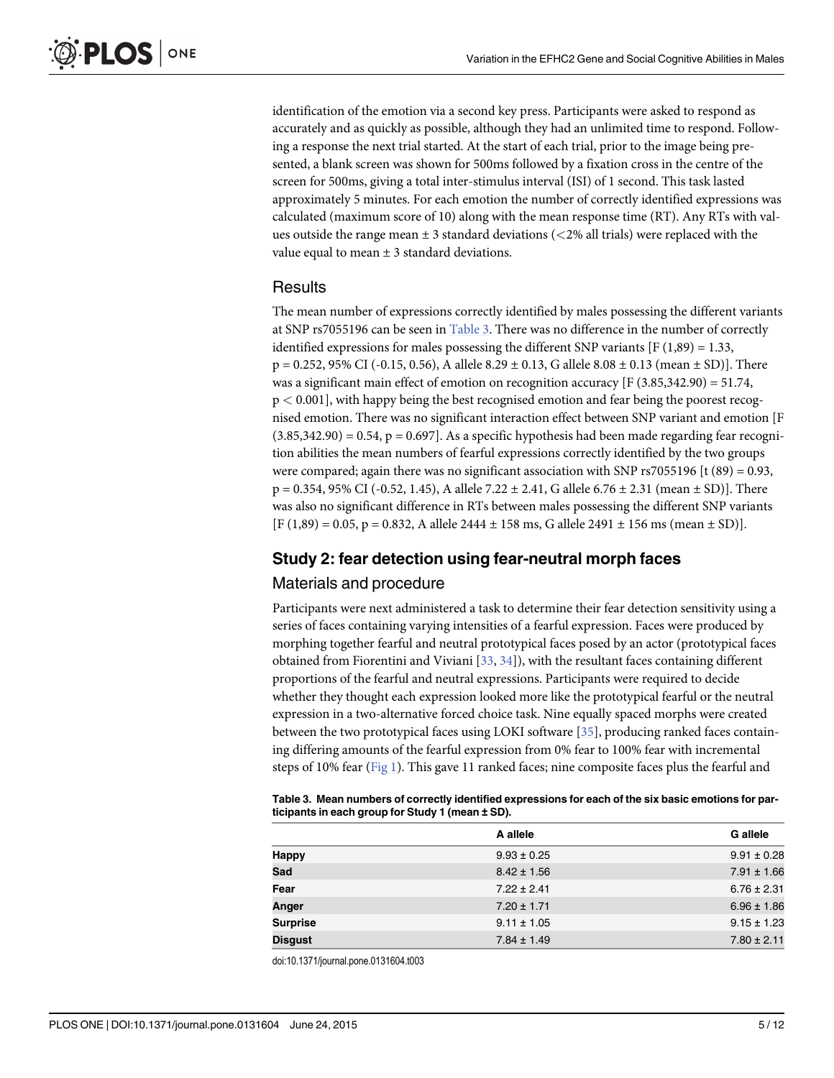<span id="page-4-0"></span>identification of the emotion via a second key press. Participants were asked to respond as accurately and as quickly as possible, although they had an unlimited time to respond. Following a response the next trial started. At the start of each trial, prior to the image being presented, a blank screen was shown for 500ms followed by a fixation cross in the centre of the screen for 500ms, giving a total inter-stimulus interval (ISI) of 1 second. This task lasted approximately 5 minutes. For each emotion the number of correctly identified expressions was calculated (maximum score of 10) along with the mean response time (RT). Any RTs with values outside the range mean  $\pm 3$  standard deviations ( $\lt 2\%$  all trials) were replaced with the value equal to mean  $\pm$  3 standard deviations.

#### Results

The mean number of expressions correctly identified by males possessing the different variants at SNP rs7055196 can be seen in Table 3. There was no difference in the number of correctly identified expressions for males possessing the different SNP variants  $[F(1,89) = 1.33]$ ,  $p = 0.252, 95\%$  CI (-0.15, 0.56), A allele 8.29  $\pm$  0.13, G allele 8.08  $\pm$  0.13 (mean  $\pm$  SD)]. There was a significant main effect of emotion on recognition accuracy [F (3.85,342.90) = 51.74, p < 0.001], with happy being the best recognised emotion and fear being the poorest recognised emotion. There was no significant interaction effect between SNP variant and emotion [F  $(3.85,342.90) = 0.54$ ,  $p = 0.697$ . As a specific hypothesis had been made regarding fear recognition abilities the mean numbers of fearful expressions correctly identified by the two groups were compared; again there was no significant association with SNP rs7055196 [t (89) = 0.93,  $p = 0.354, 95\%$  CI (-0.52, 1.45), A allele 7.22  $\pm$  2.41, G allele 6.76  $\pm$  2.31 (mean  $\pm$  SD)]. There was also no significant difference in RTs between males possessing the different SNP variants  $[F (1,89) = 0.05, p = 0.832, A$  allele 2444 ± 158 ms, G allele 2491 ± 156 ms (mean ± SD)].

#### Study 2: fear detection using fear-neutral morph faces

#### Materials and procedure

Participants were next administered a task to determine their fear detection sensitivity using a series of faces containing varying intensities of a fearful expression. Faces were produced by morphing together fearful and neutral prototypical faces posed by an actor (prototypical faces obtained from Fiorentini and Viviani [[33](#page-11-0), [34](#page-11-0)]), with the resultant faces containing different proportions of the fearful and neutral expressions. Participants were required to decide whether they thought each expression looked more like the prototypical fearful or the neutral expression in a two-alternative forced choice task. Nine equally spaced morphs were created between the two prototypical faces using LOKI software [[35](#page-11-0)], producing ranked faces containing differing amounts of the fearful expression from 0% fear to 100% fear with incremental steps of 10% fear [\(Fig 1\)](#page-5-0). This gave 11 ranked faces; nine composite faces plus the fearful and

| Table 3. Mean numbers of correctly identified expressions for each of the six basic emotions for par- |  |
|-------------------------------------------------------------------------------------------------------|--|
| ticipants in each group for Study 1 (mean ± SD).                                                      |  |

|                 | A allele        | <b>G</b> allele |
|-----------------|-----------------|-----------------|
| <b>Happy</b>    | $9.93 \pm 0.25$ | $9.91 \pm 0.28$ |
| Sad             | $8.42 \pm 1.56$ | $7.91 \pm 1.66$ |
| Fear            | $7.22 \pm 2.41$ | $6.76 \pm 2.31$ |
| Anger           | $7.20 \pm 1.71$ | $6.96 \pm 1.86$ |
| <b>Surprise</b> | $9.11 \pm 1.05$ | $9.15 \pm 1.23$ |
| <b>Disgust</b>  | $7.84 \pm 1.49$ | $7.80 \pm 2.11$ |

doi:10.1371/journal.pone.0131604.t003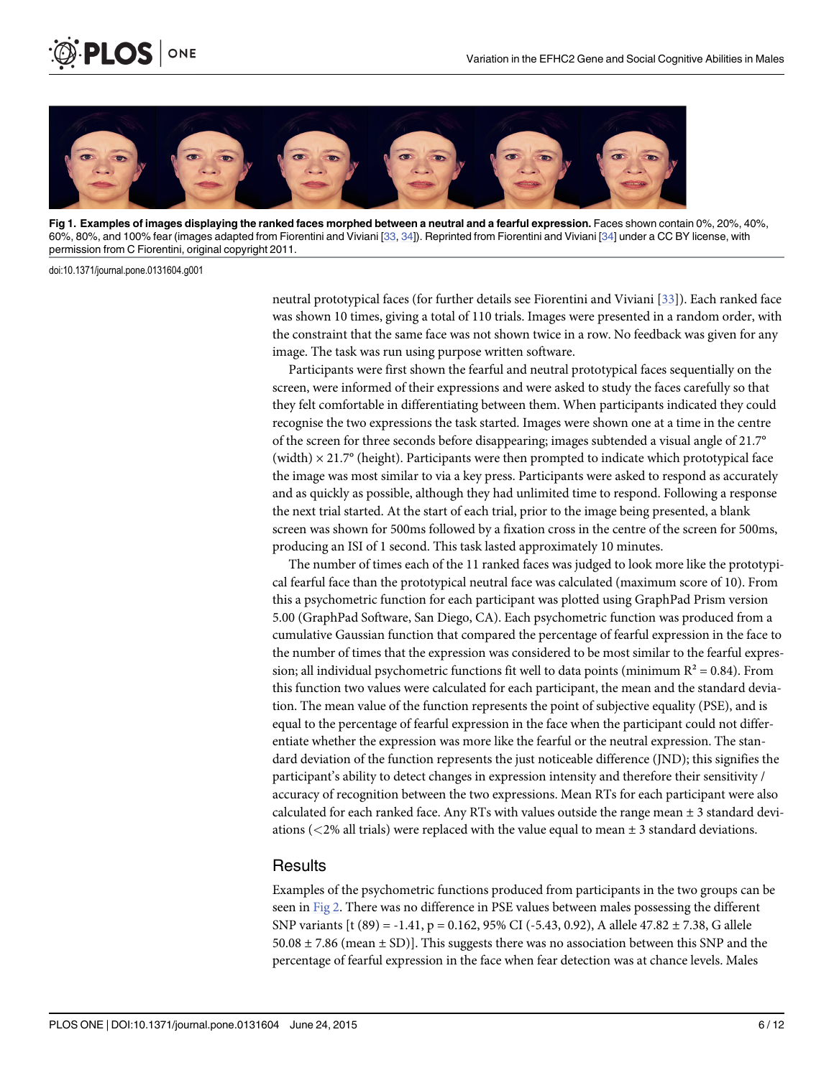

[Fig 1. E](#page-4-0)xamples of images displaying the ranked faces morphed between a neutral and a fearful expression. Faces shown contain 0%, 20%, 40%, 60%, 80%, and 100% fear (images adapted from Fiorentini and Viviani [[33,](#page-11-0) [34](#page-11-0)]). Reprinted from Fiorentini and Viviani [[34\]](#page-11-0) under a CC BY license, with permission from C Fiorentini, original copyright 2011.

doi:10.1371/journal.pone.0131604.g001

<span id="page-5-0"></span>PLOS I

ONE

neutral prototypical faces (for further details see Fiorentini and Viviani [[33](#page-11-0)]). Each ranked face was shown 10 times, giving a total of 110 trials. Images were presented in a random order, with the constraint that the same face was not shown twice in a row. No feedback was given for any image. The task was run using purpose written software.

Participants were first shown the fearful and neutral prototypical faces sequentially on the screen, were informed of their expressions and were asked to study the faces carefully so that they felt comfortable in differentiating between them. When participants indicated they could recognise the two expressions the task started. Images were shown one at a time in the centre of the screen for three seconds before disappearing; images subtended a visual angle of 21.7° (width)  $\times$  21.7 $\degree$  (height). Participants were then prompted to indicate which prototypical face the image was most similar to via a key press. Participants were asked to respond as accurately and as quickly as possible, although they had unlimited time to respond. Following a response the next trial started. At the start of each trial, prior to the image being presented, a blank screen was shown for 500ms followed by a fixation cross in the centre of the screen for 500ms, producing an ISI of 1 second. This task lasted approximately 10 minutes.

The number of times each of the 11 ranked faces was judged to look more like the prototypical fearful face than the prototypical neutral face was calculated (maximum score of 10). From this a psychometric function for each participant was plotted using GraphPad Prism version 5.00 (GraphPad Software, San Diego, CA). Each psychometric function was produced from a cumulative Gaussian function that compared the percentage of fearful expression in the face to the number of times that the expression was considered to be most similar to the fearful expression; all individual psychometric functions fit well to data points (minimum  $R^2 = 0.84$ ). From this function two values were calculated for each participant, the mean and the standard deviation. The mean value of the function represents the point of subjective equality (PSE), and is equal to the percentage of fearful expression in the face when the participant could not differentiate whether the expression was more like the fearful or the neutral expression. The standard deviation of the function represents the just noticeable difference (JND); this signifies the participant's ability to detect changes in expression intensity and therefore their sensitivity / accuracy of recognition between the two expressions. Mean RTs for each participant were also calculated for each ranked face. Any RTs with values outside the range mean ± 3 standard deviations ( $\langle 2\%$  all trials) were replaced with the value equal to mean  $\pm$  3 standard deviations.

#### **Results**

Examples of the psychometric functions produced from participants in the two groups can be seen in [Fig 2](#page-6-0). There was no difference in PSE values between males possessing the different SNP variants [t (89) = -1.41, p = 0.162, 95% CI (-5.43, 0.92), A allele 47.82 ± 7.38, G allele  $50.08 \pm 7.86$  (mean  $\pm$  SD)]. This suggests there was no association between this SNP and the percentage of fearful expression in the face when fear detection was at chance levels. Males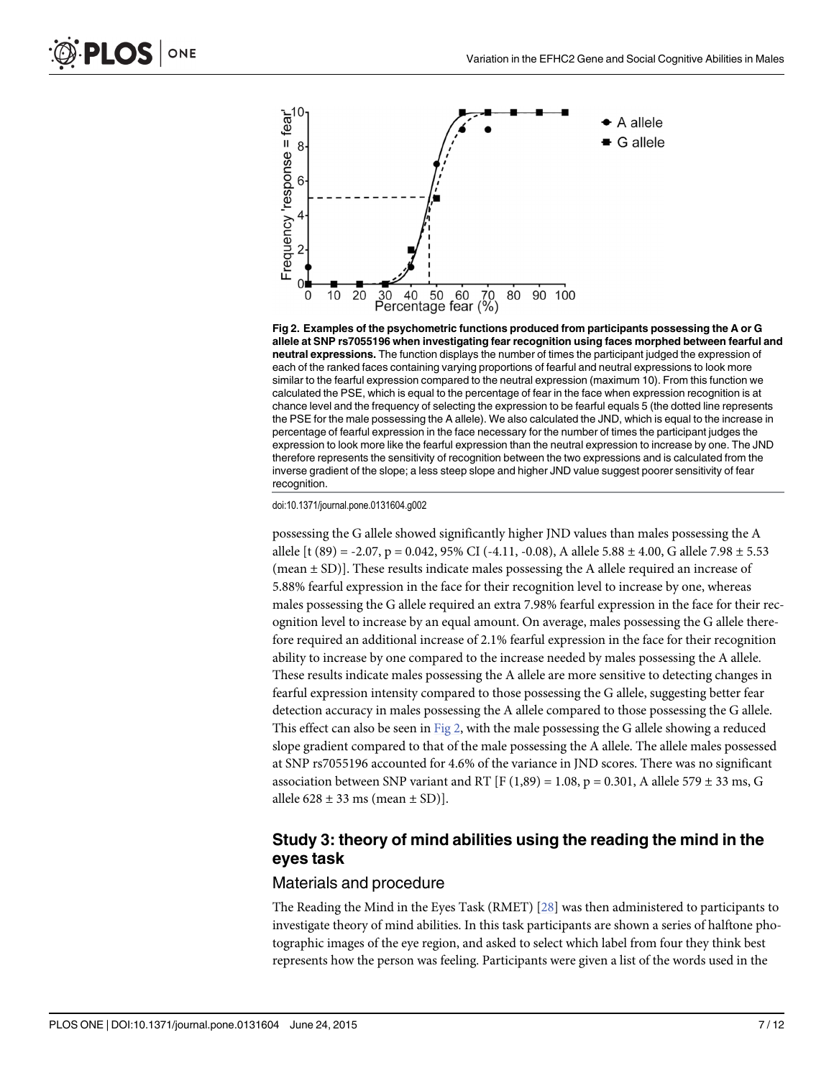<span id="page-6-0"></span>



doi:10.1371/journal.pone.0131604.g002

possessing the G allele showed significantly higher JND values than males possessing the A allele [t (89) = -2.07, p = 0.042, 95% CI (-4.11, -0.08), A allele 5.88  $\pm$  4.00, G allele 7.98  $\pm$  5.53 (mean ± SD)]. These results indicate males possessing the A allele required an increase of 5.88% fearful expression in the face for their recognition level to increase by one, whereas males possessing the G allele required an extra 7.98% fearful expression in the face for their recognition level to increase by an equal amount. On average, males possessing the G allele therefore required an additional increase of 2.1% fearful expression in the face for their recognition ability to increase by one compared to the increase needed by males possessing the A allele. These results indicate males possessing the A allele are more sensitive to detecting changes in fearful expression intensity compared to those possessing the G allele, suggesting better fear detection accuracy in males possessing the A allele compared to those possessing the G allele. This effect can also be seen in Fig 2, with the male possessing the G allele showing a reduced slope gradient compared to that of the male possessing the A allele. The allele males possessed at SNP rs7055196 accounted for 4.6% of the variance in JND scores. There was no significant association between SNP variant and RT [F (1,89) = 1.08, p = 0.301, A allele 579  $\pm$  33 ms, G allele  $628 \pm 33$  ms (mean  $\pm$  SD)].

# Study 3: theory of mind abilities using the reading the mind in the eyes task

#### Materials and procedure

The Reading the Mind in the Eyes Task (RMET) [\[28\]](#page-10-0) was then administered to participants to investigate theory of mind abilities. In this task participants are shown a series of halftone photographic images of the eye region, and asked to select which label from four they think best represents how the person was feeling. Participants were given a list of the words used in the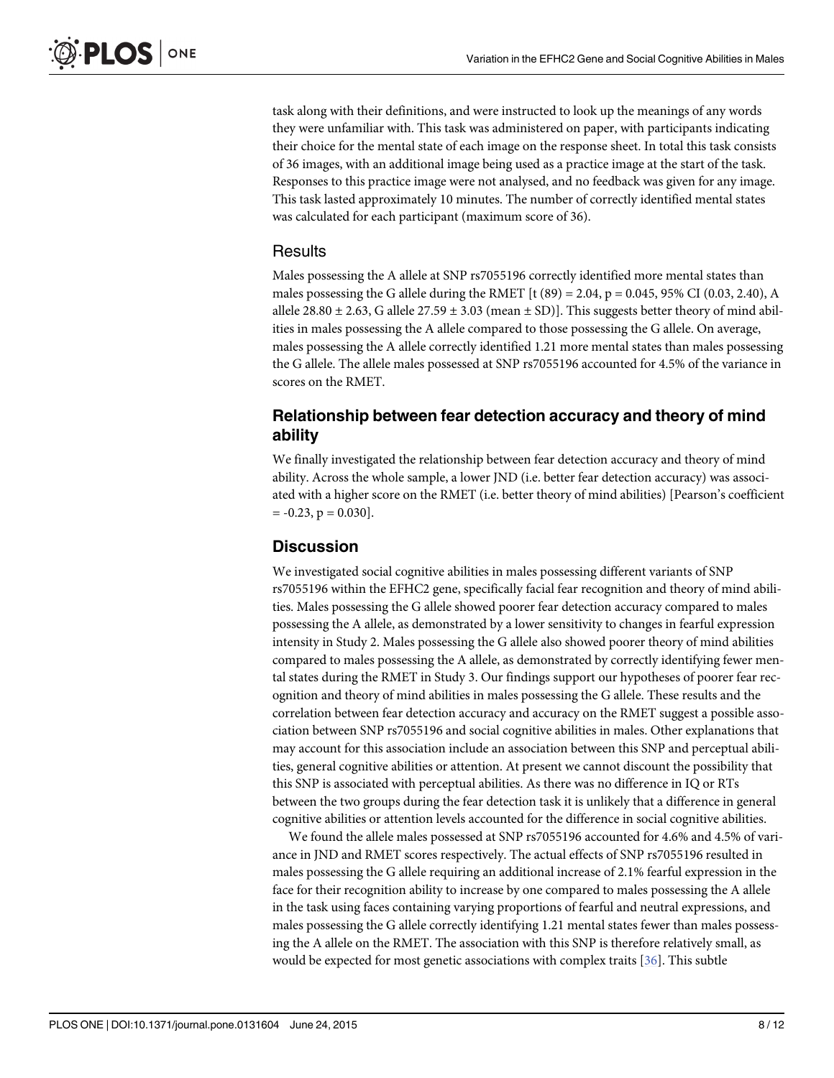<span id="page-7-0"></span>task along with their definitions, and were instructed to look up the meanings of any words they were unfamiliar with. This task was administered on paper, with participants indicating their choice for the mental state of each image on the response sheet. In total this task consists of 36 images, with an additional image being used as a practice image at the start of the task. Responses to this practice image were not analysed, and no feedback was given for any image. This task lasted approximately 10 minutes. The number of correctly identified mental states was calculated for each participant (maximum score of 36).

#### Results

Males possessing the A allele at SNP rs7055196 correctly identified more mental states than males possessing the G allele during the RMET  $[t (89) = 2.04, p = 0.045, 95\% \text{ CI } (0.03, 2.40), \text{A}$ allele 28.80  $\pm$  2.63, G allele 27.59  $\pm$  3.03 (mean  $\pm$  SD)]. This suggests better theory of mind abilities in males possessing the A allele compared to those possessing the G allele. On average, males possessing the A allele correctly identified 1.21 more mental states than males possessing the G allele. The allele males possessed at SNP rs7055196 accounted for 4.5% of the variance in scores on the RMET.

# Relationship between fear detection accuracy and theory of mind ability

We finally investigated the relationship between fear detection accuracy and theory of mind ability. Across the whole sample, a lower JND (i.e. better fear detection accuracy) was associated with a higher score on the RMET (i.e. better theory of mind abilities) [Pearson's coefficient  $= -0.23$ ,  $p = 0.030$ .

#### **Discussion**

We investigated social cognitive abilities in males possessing different variants of SNP rs7055196 within the EFHC2 gene, specifically facial fear recognition and theory of mind abilities. Males possessing the G allele showed poorer fear detection accuracy compared to males possessing the A allele, as demonstrated by a lower sensitivity to changes in fearful expression intensity in Study 2. Males possessing the G allele also showed poorer theory of mind abilities compared to males possessing the A allele, as demonstrated by correctly identifying fewer mental states during the RMET in Study 3. Our findings support our hypotheses of poorer fear recognition and theory of mind abilities in males possessing the G allele. These results and the correlation between fear detection accuracy and accuracy on the RMET suggest a possible association between SNP rs7055196 and social cognitive abilities in males. Other explanations that may account for this association include an association between this SNP and perceptual abilities, general cognitive abilities or attention. At present we cannot discount the possibility that this SNP is associated with perceptual abilities. As there was no difference in IQ or RTs between the two groups during the fear detection task it is unlikely that a difference in general cognitive abilities or attention levels accounted for the difference in social cognitive abilities.

We found the allele males possessed at SNP rs7055196 accounted for 4.6% and 4.5% of variance in JND and RMET scores respectively. The actual effects of SNP rs7055196 resulted in males possessing the G allele requiring an additional increase of 2.1% fearful expression in the face for their recognition ability to increase by one compared to males possessing the A allele in the task using faces containing varying proportions of fearful and neutral expressions, and males possessing the G allele correctly identifying 1.21 mental states fewer than males possessing the A allele on the RMET. The association with this SNP is therefore relatively small, as would be expected for most genetic associations with complex traits [\[36\]](#page-11-0). This subtle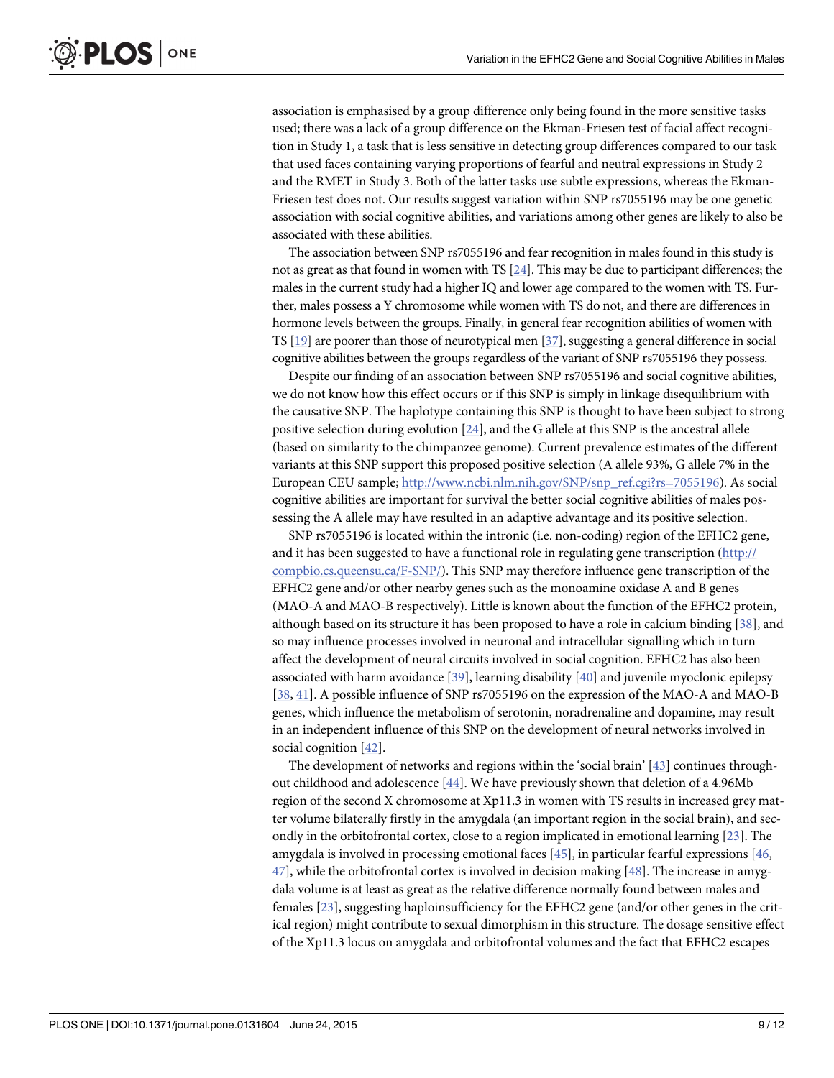<span id="page-8-0"></span>association is emphasised by a group difference only being found in the more sensitive tasks used; there was a lack of a group difference on the Ekman-Friesen test of facial affect recognition in Study 1, a task that is less sensitive in detecting group differences compared to our task that used faces containing varying proportions of fearful and neutral expressions in Study 2 and the RMET in Study 3. Both of the latter tasks use subtle expressions, whereas the Ekman-Friesen test does not. Our results suggest variation within SNP rs7055196 may be one genetic association with social cognitive abilities, and variations among other genes are likely to also be associated with these abilities.

The association between SNP rs7055196 and fear recognition in males found in this study is not as great as that found in women with TS  $[24]$ . This may be due to participant differences; the males in the current study had a higher IQ and lower age compared to the women with TS. Further, males possess a Y chromosome while women with TS do not, and there are differences in hormone levels between the groups. Finally, in general fear recognition abilities of women with TS [\[19\]](#page-10-0) are poorer than those of neurotypical men [[37](#page-11-0)], suggesting a general difference in social cognitive abilities between the groups regardless of the variant of SNP rs7055196 they possess.

Despite our finding of an association between SNP rs7055196 and social cognitive abilities, we do not know how this effect occurs or if this SNP is simply in linkage disequilibrium with the causative SNP. The haplotype containing this SNP is thought to have been subject to strong positive selection during evolution [\[24\]](#page-10-0), and the G allele at this SNP is the ancestral allele (based on similarity to the chimpanzee genome). Current prevalence estimates of the different variants at this SNP support this proposed positive selection (A allele 93%, G allele 7% in the European CEU sample; [http://www.ncbi.nlm.nih.gov/SNP/snp\\_ref.cgi?rs=7055196](http://www.ncbi.nlm.nih.gov/SNP/snp_ref.cgi?rs=7055196)). As social cognitive abilities are important for survival the better social cognitive abilities of males possessing the A allele may have resulted in an adaptive advantage and its positive selection.

SNP rs7055196 is located within the intronic (i.e. non-coding) region of the EFHC2 gene, and it has been suggested to have a functional role in regulating gene transcription [\(http://](http://compbio.cs.queensu.ca/F-�SNP/) [compbio.cs.queensu.ca/F-SNP/\)](http://compbio.cs.queensu.ca/F-�SNP/). This SNP may therefore influence gene transcription of the EFHC2 gene and/or other nearby genes such as the monoamine oxidase A and B genes (MAO-A and MAO-B respectively). Little is known about the function of the EFHC2 protein, although based on its structure it has been proposed to have a role in calcium binding  $[38]$  $[38]$ , and so may influence processes involved in neuronal and intracellular signalling which in turn affect the development of neural circuits involved in social cognition. EFHC2 has also been associated with harm avoidance  $[39]$  $[39]$  $[39]$ , learning disability  $[40]$  $[40]$  $[40]$  and juvenile myoclonic epilepsy [\[38](#page-11-0), [41\]](#page-11-0). A possible influence of SNP rs7055196 on the expression of the MAO-A and MAO-B genes, which influence the metabolism of serotonin, noradrenaline and dopamine, may result in an independent influence of this SNP on the development of neural networks involved in social cognition [\[42\]](#page-11-0).

The development of networks and regions within the 'social brain' [\[43\]](#page-11-0) continues throughout childhood and adolescence  $[44]$  $[44]$  $[44]$ . We have previously shown that deletion of a 4.96Mb region of the second X chromosome at Xp11.3 in women with TS results in increased grey matter volume bilaterally firstly in the amygdala (an important region in the social brain), and secondly in the orbitofrontal cortex, close to a region implicated in emotional learning  $[23]$  $[23]$  $[23]$ . The amygdala is involved in processing emotional faces  $[45]$ , in particular fearful expressions  $[46]$  $47$ , while the orbitofrontal cortex is involved in decision making  $[48]$  $[48]$  $[48]$ . The increase in amygdala volume is at least as great as the relative difference normally found between males and females [[23](#page-10-0)], suggesting haploinsufficiency for the EFHC2 gene (and/or other genes in the critical region) might contribute to sexual dimorphism in this structure. The dosage sensitive effect of the Xp11.3 locus on amygdala and orbitofrontal volumes and the fact that EFHC2 escapes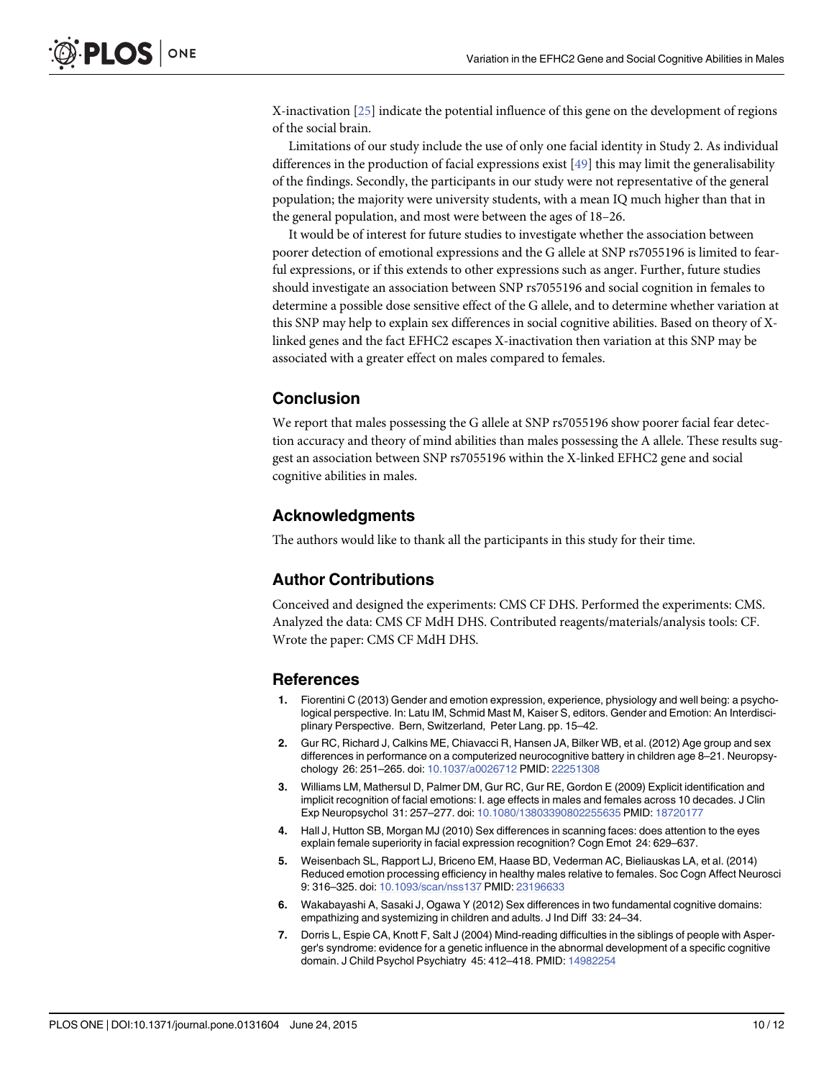<span id="page-9-0"></span>X-inactivation [[25](#page-10-0)] indicate the potential influence of this gene on the development of regions of the social brain.

Limitations of our study include the use of only one facial identity in Study 2. As individual differences in the production of facial expressions exist [\[49\]](#page-11-0) this may limit the generalisability of the findings. Secondly, the participants in our study were not representative of the general population; the majority were university students, with a mean IQ much higher than that in the general population, and most were between the ages of 18–26.

It would be of interest for future studies to investigate whether the association between poorer detection of emotional expressions and the G allele at SNP rs7055196 is limited to fearful expressions, or if this extends to other expressions such as anger. Further, future studies should investigate an association between SNP rs7055196 and social cognition in females to determine a possible dose sensitive effect of the G allele, and to determine whether variation at this SNP may help to explain sex differences in social cognitive abilities. Based on theory of Xlinked genes and the fact EFHC2 escapes X-inactivation then variation at this SNP may be associated with a greater effect on males compared to females.

# **Conclusion**

We report that males possessing the G allele at SNP rs7055196 show poorer facial fear detection accuracy and theory of mind abilities than males possessing the A allele. These results suggest an association between SNP rs7055196 within the X-linked EFHC2 gene and social cognitive abilities in males.

# Acknowledgments

The authors would like to thank all the participants in this study for their time.

# Author Contributions

Conceived and designed the experiments: CMS CF DHS. Performed the experiments: CMS. Analyzed the data: CMS CF MdH DHS. Contributed reagents/materials/analysis tools: CF. Wrote the paper: CMS CF MdH DHS.

#### References

- [1.](#page-0-0) Fiorentini C (2013) Gender and emotion expression, experience, physiology and well being: a psychological perspective. In: Latu IM, Schmid Mast M, Kaiser S, editors. Gender and Emotion: An Interdisciplinary Perspective. Bern, Switzerland, Peter Lang. pp. 15–42.
- [2.](#page-0-0) Gur RC, Richard J, Calkins ME, Chiavacci R, Hansen JA, Bilker WB, et al. (2012) Age group and sex differences in performance on a computerized neurocognitive battery in children age 8–21. Neuropsychology 26: 251–265. doi: [10.1037/a0026712](http://dx.doi.org/10.1037/a0026712) PMID: [22251308](http://www.ncbi.nlm.nih.gov/pubmed/22251308)
- [3.](#page-0-0) Williams LM, Mathersul D, Palmer DM, Gur RC, Gur RE, Gordon E (2009) Explicit identification and implicit recognition of facial emotions: I. age effects in males and females across 10 decades. J Clin Exp Neuropsychol 31: 257–277. doi: [10.1080/13803390802255635](http://dx.doi.org/10.1080/13803390802255635) PMID: [18720177](http://www.ncbi.nlm.nih.gov/pubmed/18720177)
- 4. Hall J, Hutton SB, Morgan MJ (2010) Sex differences in scanning faces: does attention to the eyes explain female superiority in facial expression recognition? Cogn Emot 24: 629–637.
- [5.](#page-0-0) Weisenbach SL, Rapport LJ, Briceno EM, Haase BD, Vederman AC, Bieliauskas LA, et al. (2014) Reduced emotion processing efficiency in healthy males relative to females. Soc Cogn Affect Neurosci 9: 316–325. doi: [10.1093/scan/nss137](http://dx.doi.org/10.1093/scan/nss137) PMID: [23196633](http://www.ncbi.nlm.nih.gov/pubmed/23196633)
- [6.](#page-0-0) Wakabayashi A, Sasaki J, Ogawa Y (2012) Sex differences in two fundamental cognitive domains: empathizing and systemizing in children and adults. J Ind Diff 33: 24–34.
- 7. Dorris L, Espie CA, Knott F, Salt J (2004) Mind-reading difficulties in the siblings of people with Asperger's syndrome: evidence for a genetic influence in the abnormal development of a specific cognitive domain. J Child Psychol Psychiatry 45: 412–418. PMID: [14982254](http://www.ncbi.nlm.nih.gov/pubmed/14982254)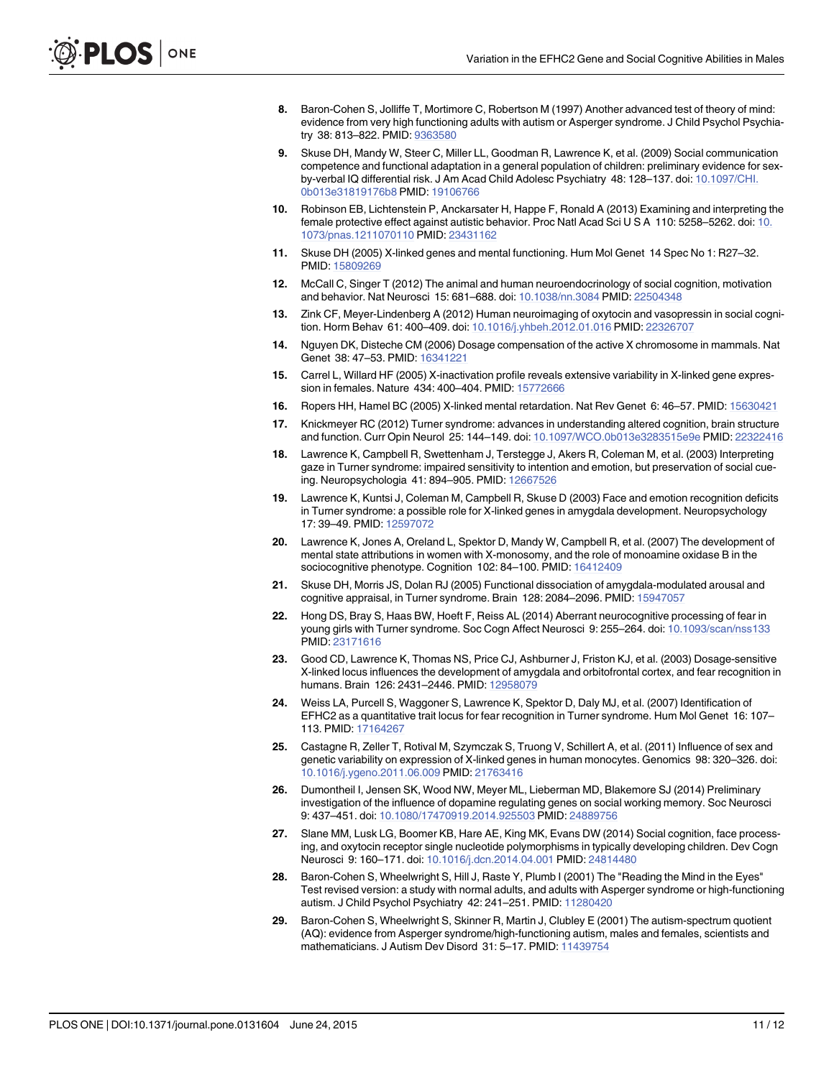- <span id="page-10-0"></span>[8.](#page-0-0) Baron-Cohen S, Jolliffe T, Mortimore C, Robertson M (1997) Another advanced test of theory of mind: evidence from very high functioning adults with autism or Asperger syndrome. J Child Psychol Psychiatry 38: 813–822. PMID: [9363580](http://www.ncbi.nlm.nih.gov/pubmed/9363580)
- [9.](#page-0-0) Skuse DH, Mandy W, Steer C, Miller LL, Goodman R, Lawrence K, et al. (2009) Social communication competence and functional adaptation in a general population of children: preliminary evidence for sex-by-verbal IQ differential risk. J Am Acad Child Adolesc Psychiatry 48: 128-137. doi: [10.1097/CHI.](http://dx.doi.org/10.1097/CHI.0b013e31819176b8) [0b013e31819176b8](http://dx.doi.org/10.1097/CHI.0b013e31819176b8) PMID: [19106766](http://www.ncbi.nlm.nih.gov/pubmed/19106766)
- [10.](#page-0-0) Robinson EB, Lichtenstein P, Anckarsater H, Happe F, Ronald A (2013) Examining and interpreting the female protective effect against autistic behavior. Proc Natl Acad Sci U S A 110: 5258–5262. doi: [10.](http://dx.doi.org/10.1073/pnas.1211070110) [1073/pnas.1211070110](http://dx.doi.org/10.1073/pnas.1211070110) PMID: [23431162](http://www.ncbi.nlm.nih.gov/pubmed/23431162)
- [11.](#page-1-0) Skuse DH (2005) X-linked genes and mental functioning. Hum Mol Genet 14 Spec No 1: R27–32. PMID: [15809269](http://www.ncbi.nlm.nih.gov/pubmed/15809269)
- [12.](#page-1-0) McCall C, Singer T (2012) The animal and human neuroendocrinology of social cognition, motivation and behavior. Nat Neurosci 15: 681–688. doi: [10.1038/nn.3084](http://dx.doi.org/10.1038/nn.3084) PMID: [22504348](http://www.ncbi.nlm.nih.gov/pubmed/22504348)
- [13.](#page-1-0) Zink CF, Meyer-Lindenberg A (2012) Human neuroimaging of oxytocin and vasopressin in social cognition. Horm Behav 61: 400–409. doi: [10.1016/j.yhbeh.2012.01.016](http://dx.doi.org/10.1016/j.yhbeh.2012.01.016) PMID: [22326707](http://www.ncbi.nlm.nih.gov/pubmed/22326707)
- [14.](#page-1-0) Nguyen DK, Disteche CM (2006) Dosage compensation of the active X chromosome in mammals. Nat Genet 38: 47–53. PMID: [16341221](http://www.ncbi.nlm.nih.gov/pubmed/16341221)
- [15.](#page-1-0) Carrel L, Willard HF (2005) X-inactivation profile reveals extensive variability in X-linked gene expression in females. Nature 434: 400–404. PMID: [15772666](http://www.ncbi.nlm.nih.gov/pubmed/15772666)
- [16.](#page-1-0) Ropers HH, Hamel BC (2005) X-linked mental retardation. Nat Rev Genet 6: 46–57. PMID: [15630421](http://www.ncbi.nlm.nih.gov/pubmed/15630421)
- [17.](#page-1-0) Knickmeyer RC (2012) Turner syndrome: advances in understanding altered cognition, brain structure and function. Curr Opin Neurol 25: 144–149. doi: [10.1097/WCO.0b013e3283515e9e](http://dx.doi.org/10.1097/WCO.0b013e3283515e9e) PMID: [22322416](http://www.ncbi.nlm.nih.gov/pubmed/22322416)
- [18.](#page-1-0) Lawrence K, Campbell R, Swettenham J, Terstegge J, Akers R, Coleman M, et al. (2003) Interpreting gaze in Turner syndrome: impaired sensitivity to intention and emotion, but preservation of social cueing. Neuropsychologia 41: 894–905. PMID: [12667526](http://www.ncbi.nlm.nih.gov/pubmed/12667526)
- [19.](#page-8-0) Lawrence K, Kuntsi J, Coleman M, Campbell R, Skuse D (2003) Face and emotion recognition deficits in Turner syndrome: a possible role for X-linked genes in amygdala development. Neuropsychology 17: 39–49. PMID: [12597072](http://www.ncbi.nlm.nih.gov/pubmed/12597072)
- 20. Lawrence K, Jones A, Oreland L, Spektor D, Mandy W, Campbell R, et al. (2007) The development of mental state attributions in women with X-monosomy, and the role of monoamine oxidase B in the sociocognitive phenotype. Cognition 102: 84–100. PMID: [16412409](http://www.ncbi.nlm.nih.gov/pubmed/16412409)
- 21. Skuse DH, Morris JS, Dolan RJ (2005) Functional dissociation of amygdala-modulated arousal and cognitive appraisal, in Turner syndrome. Brain 128: 2084–2096. PMID: [15947057](http://www.ncbi.nlm.nih.gov/pubmed/15947057)
- [22.](#page-1-0) Hong DS, Bray S, Haas BW, Hoeft F, Reiss AL (2014) Aberrant neurocognitive processing of fear in young girls with Turner syndrome. Soc Cogn Affect Neurosci 9: 255-264. doi: [10.1093/scan/nss133](http://dx.doi.org/10.1093/scan/nss133) PMID: [23171616](http://www.ncbi.nlm.nih.gov/pubmed/23171616)
- [23.](#page-1-0) Good CD, Lawrence K, Thomas NS, Price CJ, Ashburner J, Friston KJ, et al. (2003) Dosage-sensitive X-linked locus influences the development of amygdala and orbitofrontal cortex, and fear recognition in humans. Brain 126: 2431–2446. PMID: [12958079](http://www.ncbi.nlm.nih.gov/pubmed/12958079)
- [24.](#page-1-0) Weiss LA, Purcell S, Waggoner S, Lawrence K, Spektor D, Daly MJ, et al. (2007) Identification of EFHC2 as a quantitative trait locus for fear recognition in Turner syndrome. Hum Mol Genet 16: 107– 113. PMID: [17164267](http://www.ncbi.nlm.nih.gov/pubmed/17164267)
- [25.](#page-1-0) Castagne R, Zeller T, Rotival M, Szymczak S, Truong V, Schillert A, et al. (2011) Influence of sex and genetic variability on expression of X-linked genes in human monocytes. Genomics 98: 320–326. doi: [10.1016/j.ygeno.2011.06.009](http://dx.doi.org/10.1016/j.ygeno.2011.06.009) PMID: [21763416](http://www.ncbi.nlm.nih.gov/pubmed/21763416)
- [26.](#page-2-0) Dumontheil I, Jensen SK, Wood NW, Meyer ML, Lieberman MD, Blakemore SJ (2014) Preliminary investigation of the influence of dopamine regulating genes on social working memory. Soc Neurosci 9: 437–451. doi: [10.1080/17470919.2014.925503](http://dx.doi.org/10.1080/17470919.2014.925503) PMID: [24889756](http://www.ncbi.nlm.nih.gov/pubmed/24889756)
- [27.](#page-2-0) Slane MM, Lusk LG, Boomer KB, Hare AE, King MK, Evans DW (2014) Social cognition, face processing, and oxytocin receptor single nucleotide polymorphisms in typically developing children. Dev Cogn Neurosci 9: 160–171. doi: [10.1016/j.dcn.2014.04.001](http://dx.doi.org/10.1016/j.dcn.2014.04.001) PMID: [24814480](http://www.ncbi.nlm.nih.gov/pubmed/24814480)
- [28.](#page-2-0) Baron-Cohen S, Wheelwright S, Hill J, Raste Y, Plumb I (2001) The "Reading the Mind in the Eyes" Test revised version: a study with normal adults, and adults with Asperger syndrome or high-functioning autism. J Child Psychol Psychiatry 42: 241–251. PMID: [11280420](http://www.ncbi.nlm.nih.gov/pubmed/11280420)
- [29.](#page-2-0) Baron-Cohen S, Wheelwright S, Skinner R, Martin J, Clubley E (2001) The autism-spectrum quotient (AQ): evidence from Asperger syndrome/high-functioning autism, males and females, scientists and mathematicians. J Autism Dev Disord 31: 5–17. PMID: [11439754](http://www.ncbi.nlm.nih.gov/pubmed/11439754)